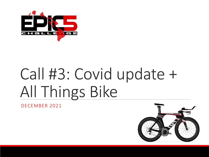

# Call #3: Covid update + All Things Bike

DECEMBER 2021

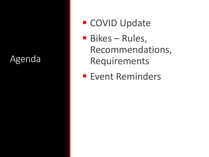#### Agenda

- COVID Update
- Bikes Rules, Recommendations, Requirements
- **Event Reminders**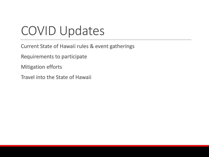# COVID Updates

- Current State of Hawaii rules & event gatherings
- Requirements to participate
- Mitigation efforts
- Travel into the State of Hawaii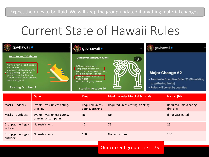#### Expect the rules to be fluid. We will keep the group updated if anything material changes.

# Current State of Hawaii Rules



#### Our current group size is 75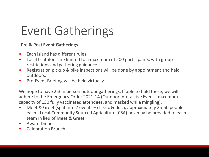# Event Gatherings

#### **Pre & Post Event Gatherings**

- Each island has different rules.
- Local triathlons are limited to a maximum of 500 participants, with group restrictions and gathering guidance.
- Registration pickup & bike inspections will be done by appointment and held outdoors.
- Pre-Event Briefing will be held virtually.

We hope to have 2-3 in person outdoor gatherings. If able to hold these, we will adhere to the Emergency Order 2021-14 (Outdoor Interactive Event - maximum capacity of 150 fully vaccinated attendees, and masked while mingling).

- Meet & Greet (split into 2 events classic & deca, approximately 25-50 people each). Local Community Sourced Agriculture (CSA) box may be provided to each team in lieu of Meet & Greet.
- Award Dinner
- Celebration Brunch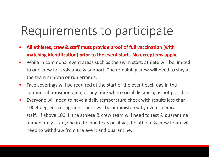# Requirements to participate

- **All athletes, crew & staff must provide proof of full vaccination (with matching identification) prior to the event start. No exceptions apply.**
- While in communal event areas such as the swim start, athlete will be limited to one crew for assistance & support. The remaining crew will need to stay at the team minivan or run errands.
- Face coverings will be required at the start of the event each day in the communal transition area, or any time when social distancing is not possible.
- Everyone will need to have a daily temperature check with results less than 100.4 degrees centigrade. These will be administered by event medical staff. If above 100.4, the athlete & crew team will need to test & quarantine immediately. If anyone in the pod tests positive, the athlete & crew team will need to withdraw from the event and quarantine.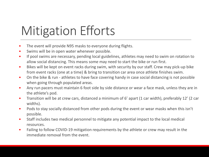# Mitigation Efforts

- The event will provide N95 masks to everyone during flights.
- Swims will be in open water whenever possible.
- If pool swims are necessary, pending local guidelines, athletes may need to swim on rotation to allow social distancing. This means some may need to start the bike or run first.
- Bikes will be kept on event racks during swim, with security by our staff. Crew may pick-up bike from event racks (one at a time) & bring to transition car area once athlete finishes swim.
- On the bike & run athletes to have face covering handy in case social distancing is not possible when going through populated areas.
- Any run pacers must maintain 6 foot side by side distance or wear a face mask, unless they are in the athlete's pod.
- Transition will be at crew cars, distanced a minimum of 6' apart (1 car width), preferably 12' (2 car widths).
- Pods to stay socially distanced from other pods during the event or wear masks when this isn't possible.
- Staff includes two medical personnel to mitigate any potential impact to the local medical resources.
- Failing to follow COVID-19 mitigation requirements by the athlete or crew may result in the immediate removal from the event.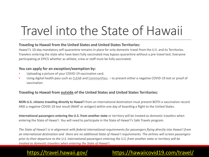# Travel into the State of Hawaii

#### **Traveling to Hawaii from the United States and United States Territories:**

Hawai'i's 10-day mandatory self-quarantine remains in place for only domestic travel from the U.S. and its Territories. Travelers entering the state who have been fully vaccinated may bypass quarantine without a pre-travel test. Everyone participating at EPIC5 whether as athlete, crew or staff must be fully vaccinated.

#### **You can apply for an exception/exemption by:**

- Uploading a picture of your COVID-19 vaccination card.
- Using digital health pass such as [CLEAR](https://www.clearme.com/hawaii) and [CommonPass](https://commonpass.org/hawaii). to present either a negative COVID-19 test or proof of vaccination

#### **Traveling to Hawaii from outside of the United States and United States Territories:**

**NON-U.S. citizens traveling directly to Hawai'i** from an international destination must present BOTH a vaccination record AND a negative COVID-19 test result (NAAT or antigen) within one day of boarding a flight to the United States.

**International passengers entering the U.S. from another state** or territory will be treated as domestic travelers when entering the State of Hawai'i. You will need to participate in the State of Hawai'i's Safe Travels program.

*The State of Hawai'i is in alignment with federal international requirements for passengers flying directly into Hawai'i from an international destination and there are no additional State of Hawaiʻi requirements. The airlines will screen passengers prior to their departure to the U.S. International passengers entering the U.S. from another state or territory will be treated as domestic travelers when entering the State of Hawai'i.*

#### <https://travel.hawaii.gov/> <https://hawaiicovid19.com/travel/>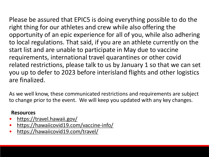Please be assured that EPIC5 is doing everything possible to do the right thing for our athletes and crew while also offering the opportunity of an epic experience for all of you, while also adhering to local regulations. That said, if you are an athlete currently on the start list and are unable to participate in May due to vaccine requirements, international travel quarantines or other covid related restrictions, please talk to us by January 1 so that we can set you up to defer to 2023 before interisland flights and other logistics are finalized.

As we well know, these communicated restrictions and requirements are subject to change prior to the event. We will keep you updated with any key changes.

#### **Resources**

- <https://travel.hawaii.gov/>
- <https://hawaiicovid19.com/vaccine-info/>
- <https://hawaiicovid19.com/travel/>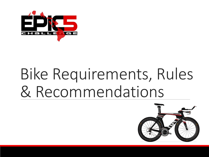

# Bike Requirements, Rules & Recommendations

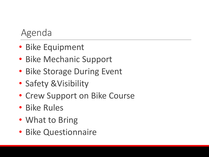#### Agenda

- Bike Equipment
- Bike Mechanic Support
- Bike Storage During Event
- Safety &Visibility
- Crew Support on Bike Course
- Bike Rules
- What to Bring
- Bike Questionnaire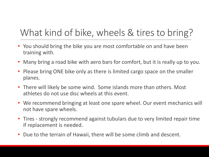## What kind of bike, wheels & tires to bring?

- You should bring the bike you are most comfortable on and have been training with.
- Many bring a road bike with aero bars for comfort, but it is really up to you.
- Please bring ONE bike only as there is limited cargo space on the smaller planes.
- There will likely be some wind. Some islands more than others. Most athletes do not use disc wheels at this event.
- We recommend bringing at least one spare wheel. Our event mechanics will not have spare wheels.
- Tires strongly recommend against tubulars due to very limited repair time if replacement is needed.
- Due to the terrain of Hawaii, there will be some climb and descent.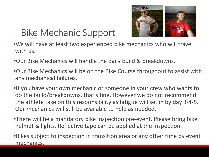

## Bike Mechanic Support

- •We will have at least two experienced bike mechanics who will travel with us.
- •Our Bike Mechanics will handle the daily build & breakdowns.
- •Our Bike Mechanics will be on the Bike Course throughout to assist with any mechanical failures.
- •If you have your own mechanic or someone in your crew who wants to do the build/breakdowns, that's fine. However we do not recommend the athlete take on this responsibility as fatigue will set in by day 3-4-5. Our mechanics will still be available to help as needed.
- •There will be a mandatory bike inspection pre-event. Please bring bike, helmet & lights. Reflective tape can be applied at the inspection.
- •Bikes subject to inspection in transition area or any other time by event mechanics.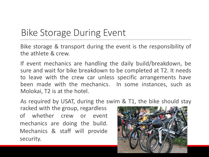## Bike Storage During Event

Bike storage & transport during the event is the responsibility of the athlete & crew.

If event mechanics are handling the daily build/breakdown, be sure and wait for bike breakdown to be completed at T2. It needs to leave with the crew car unless specific arrangements have been made with the mechanics. In some instances, such as Molokai, T2 is at the hotel.

As required by USAT, during the swim & T1, the bike should stay

racked with the group, regardless of whether crew or event mechanics are doing the build. Mechanics & staff will provide security.

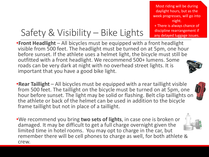Most riding will be during daylight hours, but as the week progresses, will go into night. + There is always chance of discipline rearrangement if any delayed luggage issues.

## Safety & Visibility – Bike Lights

•**Front Headlight** – All bicycles must be equipped with a front headlight visible from 500 feet. The headlight must be turned on at 5pm, one hour before sunset. If the athlete uses a helmet light, the bicycle must still be outfitted with a front headlight. We recommend 500+ lumens. Some roads can be very dark at night with no overhead street lights. It is important that you have a good bike light.

•**Rear Taillight** – All bicycles must be equipped with a rear taillight visible from 500 feet. The taillight on the bicycle must be turned on at 5pm, one hour before sunset. The light may be solid or flashing. Belt clip taillights on the athlete or back of the helmet can be used in addition to the bicycle frame taillight but not in place of a taillight.

•We recommend you bring **two sets of lights**, in case one is broken or damaged. It may be difficult to get a full charge overnight given the limited time in hotel rooms. You may opt to charge in the car, but remember there will be cell phones to charge as well, for both athlete & crew.



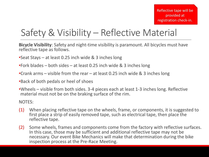## Safety & Visibility – Reflective Material

**Bicycle Visibility**: Safety and night-time visibility is paramount. All bicycles must have reflective tape as follows.

- •Seat Stays at least 0.25 inch wide & 3 inches long
- •Fork blades both sides at least 0.25 inch wide & 3 inches long
- •Crank arms visible from the rear at least 0.25 inch wide & 3 inches long
- •Back of both pedals or heel of shoes
- •Wheels visible from both sides. 3-4 pieces each at least 1-3 inches long. Reflective material must not be on the braking surface of the rim.

NOTES:

- (1) When placing reflective tape on the wheels, frame, or components, it is suggested to first place a strip of easily removed tape, such as electrical tape, then place the reflective tape.
- (2) Some wheels, frames and components come from the factory with reflective surfaces. In this case, those may be sufficient and additional reflective tape may not be necessary. Our event Bike Mechanics will make that determination during the bike inspection process at the Pre-Race Meeting.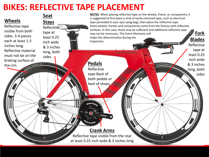#### **BIKES: REFLECTIVE TAPE PLACEMENT**

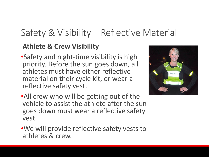## Safety & Visibility – Reflective Material

#### **Athlete & Crew Visibility**

•Safety and night-time visibility is high priority. Before the sun goes down, all athletes must have either reflective material on their cycle kit, or wear a reflective safety vest.



- •All crew who will be getting out of the vehicle to assist the athlete after the sun goes down must wear a reflective safety vest.
- •We will provide reflective safety vests to athletes & crew.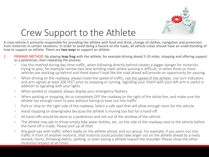

## Crew Support to the Athlete

A crew vehicle is primarily responsible for providing the athlete with food and drink, change of clothes, navigation and protection from motorists in certain situations. In order to avoid being a hazard on the roads, all vehicle crews should have an understanding of how to support an athlete. There are **two ways** to support an athlete:

- 1. PRIMARY METHOD: By playing **leap frog** with the athlete, for example driving ahead 5-10 miles, stopping and offering support as a pedestrian, then repeating the process.
	- Use this method during day-time traffic, when following directly behind creates a bigger danger for motorists trying to pass, for example narrow two-lane winding roads where passing is difficult, or when three or more vehicles are stacking up behind and there doesn't look like the road ahead will provide an opportunity for passing.
	- When driving on the roadway, always travel the speed of traffic, not the speed of the athlete. Use turn indicators and arm signals at least 200 FEET prior to stopping or turning. Signaling your intent with your left arm is useful in addition to signaling with your lights.
	- When parked or stopped, always display your emergency flashers.
	- When parking or stopping, do so completely OFF the roadway to the right of the white line, and make sure the athlete has enough room to pass without having to ease out into traffic.
	- Park or stop on the right side of the roadway. Select a safe spot that will allow enough room for the vehicle.
	- Avoid stopping on downgrades because the athlete is moving too fast for a hand-off.
	- All hand-offs should be done as a pedestrian and not out of the window of the vehicle.
	- The athlete may opt to throw empty bike water bottles, etc. on the side of the roadway next to the vehicle before the hand-off is made. Please pick up all litter.
	- Any goof-ups with traffic reflect badly on the athlete ahead, and our group. For example, if you zoom out into traffic in front of another motorist, that motorist could possibly take anger out on the athlete ahead by a nasty remark, horns, throwing debris, spitting, or even easing a athlete toward the shoulder. Please show the other motorists respect at all times.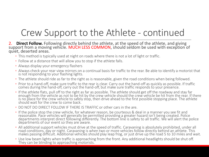## Crew Support to the Athlete - continued

- 2. **Direct Follow.** Following directly behind the athlete, at the speed of the athlete, and giving support from a moving vehicle. MUCH LESS COMMON, should seldom be used with exception of quiet, deserted areas.
	- This method is typically used at night on roads where there is not a lot of light or traffic.
	- Follow at a distance that will allow you to stop if the athlete falls.
	- Always display your emergency flashers
	- Always check your rear view mirrors on a continual basis for traffic to the rear. Be able to identify a motorist that is not responding to your flashing lights.
	- The athlete should ride as far to the right as is reasonable, given the road conditions when being followed.
	- Prior to a hand-off, make sure traffic to the rear is clear. Carry out the hand-off as quickly as possible. If traffic comes during the hand-off, carry out the hand-off, but make sure traffic responds to your presence.
	- If the athlete flats, pull off to the right as far as possible. The athlete should get off the roadway and stay far enough from the vehicle as not to be hit by the crew vehicle should the crew vehicle be hit from the rear. If there is no place for the crew vehicle to safely stop, then drive ahead to the first possible stopping place. The athlete should wait for the crew to come back.
	- DO NOT DO DIRECT FOLLOW IF THERE IS TRAFFIC or other cars in the are.
	- If the police stop the crew vehicle, for whatever reason, be courteous & deal in a manner you see fit and reasonable. Pace vehicles will generally be permitted providing a greater hazard isn't being created. Police departments interpret direct following differently. The bottom line is safety to all traffic. We will alert the police departments of our event so they are aware.
	- All additional support vehicles must drive at the speed of traffic. Caravaning is absolutely prohibited, under all road conditions, day or night. Caravaning is when two or more vehicles follow directly behind an athlete. This makes passing difficult. Additional vehicles should play leap frog, or just drive up the road 5 to 10 miles and wait.
	- Use low beam lights when traffic is approaching from the front. Any additional headlights should be shut off. They can be blinding to approaching motorists.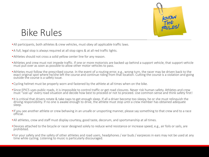

#### Bike Rules

- •All participants, both athletes & crew vehicles, must obey all applicable traffic laws.
- •A full, legal stop is always required at all stop signs & at all red traffic lights.
- •Athletes should not cross a solid yellow center line for any reason.
- •Athletes and crew must not impede traffic. If one or more motorists are backed up behind a support vehicle, that support vehicle must pull over as soon as possible to allow other motor vehicles to pass.
- •Athletes must follow the prescribed course. In the event of a routing error, e.g., wrong turn, the racer may be driven back to the exact original spot where he/she left the course and continue riding from that location. Cutting the course is a violation and going outside the course is a safety issue.
- •Cycling helmet must be properly worn and fastened by the athlete at all times when on the bike.
- •Since EPIC5 uses public roads, it is impossible to control traffic or get road closures. Never risk human safety. Athletes and crew must "size up" every road situation and decide how best to proceed or not to proceed. Use common sense and think safety first!
- •It is critical that drivers rotate & take naps to get enough sleep. If all a driver become too sleepy, he or she must relinquish the driving responsibility. If no one is awake enough to drive, the athlete must stop until a crew member has obtained adequate sleep.
- •If you see another athlete or crew behaving in an unsafe or unsporting manner, please say something to that crew and to a race official.
- •All athletes, crew and staff must display courtesy, good taste, decorum, and sportsmanship at all times.
- •Devices attached to the bicycle or racer designed solely to reduce wind resistance or increase speed, e.g., air foils or sails, are prohibited.
- •For your safety and the safety of other athletes and road users, headphones / ear buds / earpieces in ears may not be used at any time while cycling. Listening to music is particularly discouraged.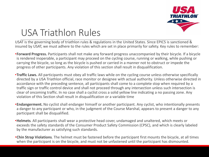

## USA Triathlon Rules

USAT is the governing body of triathlon rules & regulations in the United States. Since EPIC5 is sanctioned & insured by USAT, we must adhere to the rules which are set in place primarily for safety. Key rules to remember:

- •**Forward Progress.** Participants shall not make any forward progress unaccompanied by their bicycle. If a bicycle is rendered inoperable, a participant may proceed on the cycling course, running or walking, while pushing or carrying the bicycle, so long as the bicycle is pushed or carried in a manner not to obstruct or impede the progress of other participants. Any violation of this section shall result in disqualification.
- •**Traffic Laws.** All participants must obey all traffic laws while on the cycling course unless otherwise specifically directed by a USA Triathlon official, race monitor or designee with actual authority. Unless otherwise directed in accordance with the preceding sentence, all participants shall come to a complete stop when required by a traffic sign or traffic control device and shall not proceed through any intersection unless such intersection is clear of oncoming traffic. In no case shall a cyclist cross a solid yellow line indicating a no passing zone. Any violation of this Section shall result in disqualification or a variable time
- •**Endangerment.** No cyclist shall endanger himself or another participant. Any cyclist, who intentionally presents a danger to any participant or who, in the judgment of the Course Marshal, appears to present a danger to any participant shall be disqualified.
- •**Helmets***.* All participants shall wear a protective head cover, undamaged and unaltered, which meets or exceeds the safety standards of the Consumer Product Safety Commission (CPSC), and which is clearly labeled by the manufacturer as satisfying such standards.
- •**Chin Strap Violations***.* The helmet must be fastened before the participant first mounts the bicycle, at all times when the participant is on the bicycle, and must not be unfastened until the participant has dismounted.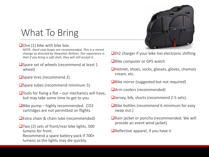## What To Bring

#### $\Box$  One (1) bike with bike box.

NOTE: *Hard case boxes are recommended. This is a recent change as directed by Hawaiian Airlines. Our experience is that if you bring a soft shell, they will still accept it.* 

- Spare set of wheels (recommend at least 1 wheel)
- ❑Spare tires (recommend 2)
- ❑Spare tubes (recommend minimum 5)
- $\Box$ Tools for fixing a flat our mechanics will have, but may take some time to get to you
- $\Box$ Bike pump highly recommended. CO2 cartridges are not permitted on flights.
- ❑Extra chain & chain lube (recommended)
- ❑Two (2) sets of front/rear bike lights, 500 lumens for front. Recommend a spare battery pack if 700+ lumens as the lights may die quickly.



- ❑Di2 charger if your bike has electronic shifting
- ■Bike computer or GPS watch
- ❑Helmet, shoes, socks, glasses, gloves, chamois cream, etc.
- ❑Bike mirror (suggested but not required)
- ❑Arm coolers (recommended)
- ❑Jersey, bib, shorts (recommend 2-5 sets).
- ■Bike bottles (recommend 6 minimum for easy swap out.)
- ❑Rain jacket or poncho (recommended. We will provide an event wind jacket)
- $\Box$ Reflective apparel, if you have it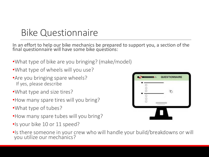### Bike Questionnaire

In an effort to help our bike mechanics be prepared to support you, a section of the final questionnaire will have some bike questions:

- •What type of bike are you bringing? (make/model)
- •What type of wheels will you use?
- •Are you bringing spare wheels? If yes, please describe
- •What type and size tires?
- •How many spare tires will you bring?
- •What type of tubes?
- •How many spare tubes will you bring?
- •Is your bike 10 or 11 speed?
- •Is there someone in your crew who will handle your build/breakdowns or will you utilize our mechanics?

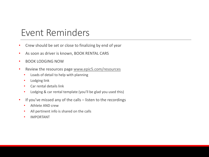#### Event Reminders

- Crew should be set or close to finalizing by end of year
- As soon as driver is known, BOOK RENTAL CARS
- BOOK LODGING NOW
- Review the resources page [www.epic5.com/resources](http://www.epic5.com/resources)
	- Loads of detail to help with planning
	- Lodging link
	- Car rental details link
	- Lodging & car rental template (you'll be glad you used this)
- If you've missed any of the calls listen to the recordings
	- Athlete AND crew
	- All pertinent info is shared on the calls
	- IMPORTANT